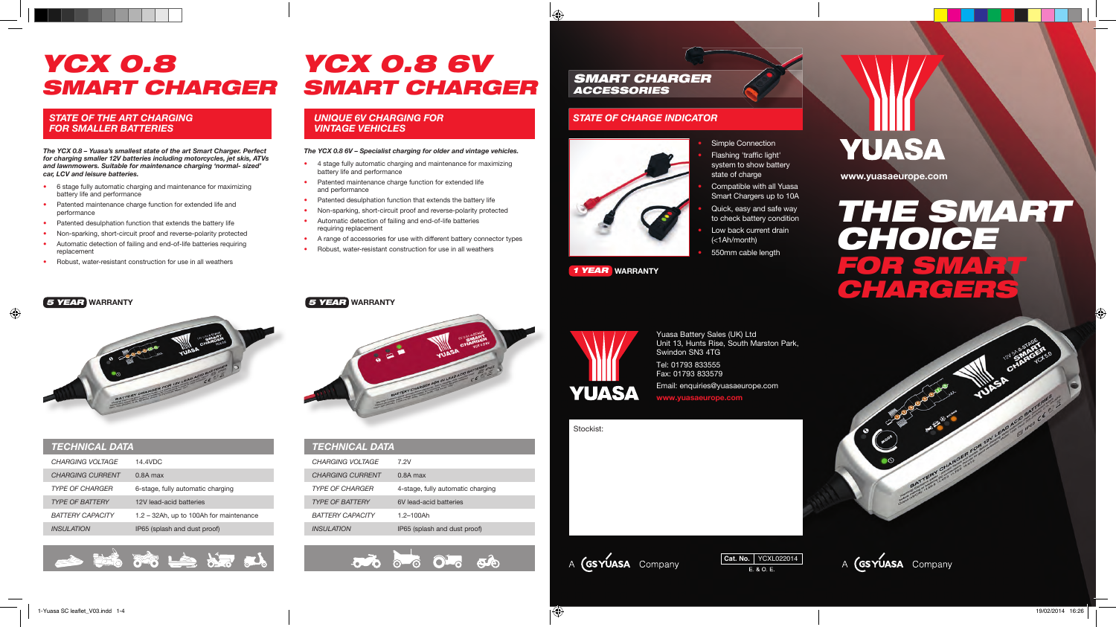# *YCX 0.8 SMART CHARGER*

#### *STATE OF THE ART CHARGING FOR SMALLER BATTERIES*

*The YCX 0.8 – Yuasa's smallest state of the art Smart Charger. Perfect for charging smaller 12V batteries including motorcycles, jet skis, ATVs and lawnmowers. Suitable for maintenance charging 'normal- sized' car, LCV and leisure batteries.*

- 6 stage fully automatic charging and maintenance for maximizing battery life and performance
- Patented maintenance charge function for extended life and performance
- Patented desulphation function that extends the battery life
- Non-sparking, short-circuit proof and reverse-polarity protected
- Automatic detection of failing and end-of-life batteries requiring replacement
- Robust, water-resistant construction for use in all weathers

# *YCX 0.8 6V SMART CHARGER*

#### *UNIQUE 6V CHARGING FOR VINTAGE VEHICLES*

#### *The YCX 0.8 6V – Specialist charging for older and vintage vehicles.*

- 4 stage fully automatic charging and maintenance for maximizing battery life and performance
- Patented maintenance charge function for extended life and performance
- Patented desulphation function that extends the battery life
- Non-sparking, short-circuit proof and reverse-polarity protected
- Automatic detection of failing and end-of-life batteries requiring replacement
- A range of accessories for use with different battery connector types
- Robust, water-resistant construction for use in all weathers

#### *SMART CHARGER ACCESSORIES*

#### *STATE OF CHARGE INDICATOR*



#### *1 YEAR* **WARRANTY**

# **YUASA**

**www.yuasaeurope.com**

# *THE SMART CHOICE FOR SMART CHARGERS*

#### *5 YEAR* **WARRANTY** *5 YEAR* **WARRANTY**



| <b>TECHNICAL DATA</b>   |                                         |  | <b>TECHNICAL DATA</b>   |
|-------------------------|-----------------------------------------|--|-------------------------|
| CHARGING VOLTAGE        | 14.4VDC                                 |  | <b>CHARGING VOLTAGE</b> |
| <b>CHARGING CURRENT</b> | $0.8A$ max                              |  | <b>CHARGING CURRENT</b> |
| <b>TYPE OF CHARGER</b>  | 6-stage, fully automatic charging       |  | <b>TYPE OF CHARGER</b>  |
| <b>TYPE OF BATTERY</b>  | 12V lead-acid batteries                 |  | <b>TYPE OF BATTERY</b>  |
| <b>BATTERY CAPACITY</b> | 1.2 - 32Ah, up to 100Ah for maintenance |  | <b>BATTERY CAPACITY</b> |
| <b>INSULATION</b>       | IP65 (splash and dust proof)            |  | <b>INSULATION</b>       |



*XC 0.8*



| <b>TECHNICAL DATA</b>    |                                   |
|--------------------------|-----------------------------------|
| CHARGING VOI TAGE        | 7.2V                              |
| <b>CHARGING CURRENT</b>  | $0.8A$ max                        |
| <b>TYPE OF CHARGER</b>   | 4-stage, fully automatic charging |
| <b>TYPE OF BATTERY</b>   | 6V lead-acid batteries            |
| <b>BATTERY CAPACITY</b>  | $1.2 - 100$ Ah                    |
| <i><b>INSULATION</b></i> | IP65 (splash and dust proof)      |
|                          |                                   |

 $\overline{\mathbf{O}}$   $\overline{\mathbf{O}}$   $\overline{\mathbf{O}}$   $\overline{\mathbf{O}}$   $\overline{\mathbf{O}}$   $\overline{\mathbf{O}}$   $\overline{\mathbf{O}}$   $\overline{\mathbf{O}}$ 



Yuasa Battery Sales (UK) Ltd Unit 13, Hunts Rise, South Marston Park, Swindon SN3 4TG Tel: 01793 833555 Fax: 01793 833579

Email: enquiries@yuasaeurope.com **www.yuasaeurope.com**

Stockist:





A **(GSYUASA** Company